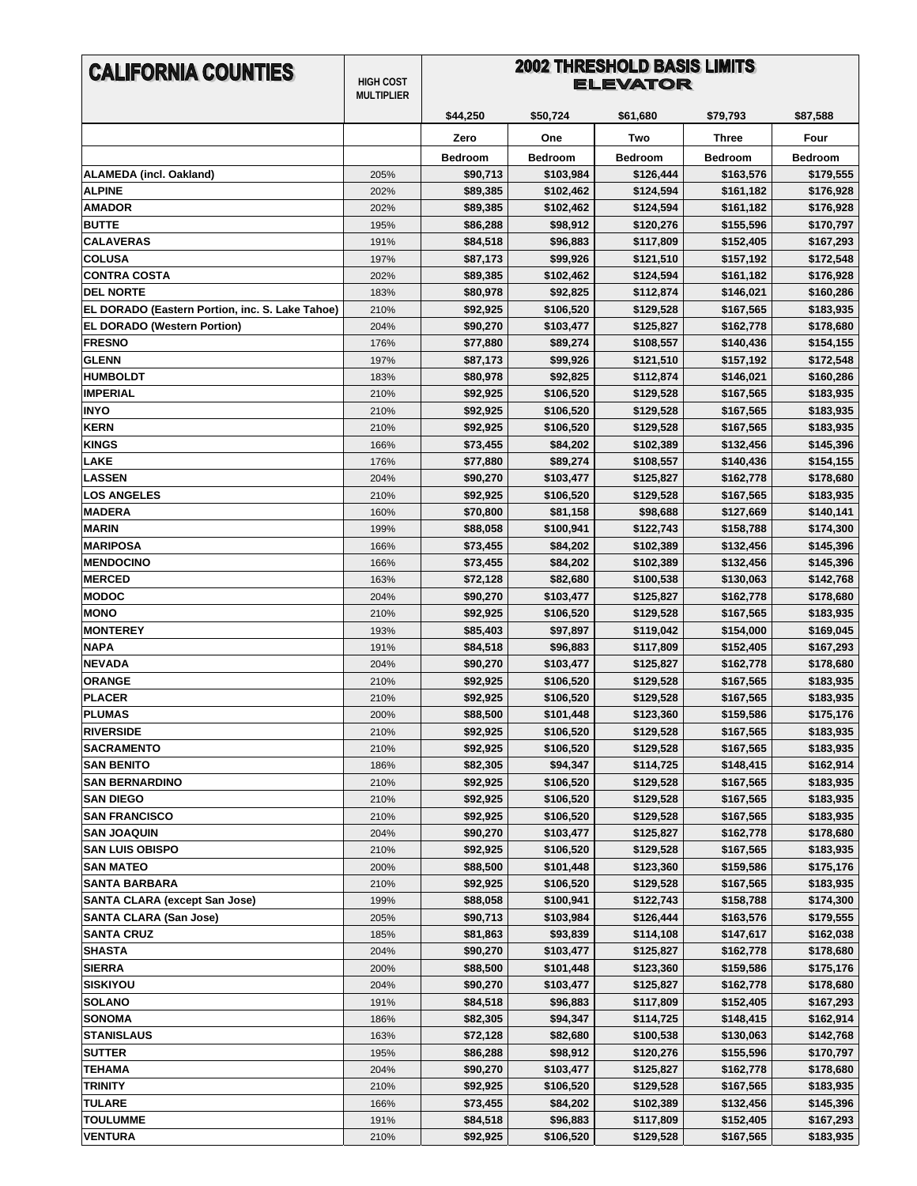| <b>CALIFORNIA COUNTIES</b>                      | <b>HIGH COST</b><br><b>MULTIPLIER</b> | <b>2002 THRESHOLD BASIS LIMITS</b><br><b>ELEVATOR</b> |                        |                        |                        |                        |
|-------------------------------------------------|---------------------------------------|-------------------------------------------------------|------------------------|------------------------|------------------------|------------------------|
|                                                 |                                       | \$44,250                                              | \$50,724               | \$61,680               | \$79,793               | \$87,588               |
|                                                 |                                       | Zero                                                  | One                    | Two                    | Three                  | Four                   |
|                                                 |                                       | <b>Bedroom</b>                                        | <b>Bedroom</b>         | <b>Bedroom</b>         | <b>Bedroom</b>         | <b>Bedroom</b>         |
| <b>ALAMEDA (incl. Oakland)</b>                  | 205%                                  | \$90,713                                              | \$103,984              | \$126,444              | \$163,576              | \$179,555              |
| <b>ALPINE</b>                                   | 202%                                  | \$89,385                                              | \$102,462              | \$124,594              | \$161,182              | \$176,928              |
| <b>AMADOR</b>                                   | 202%                                  | \$89,385                                              | \$102,462              | \$124,594              | \$161,182              | \$176,928              |
| <b>BUTTE</b>                                    | 195%                                  | \$86,288                                              | \$98,912               | \$120,276              | \$155,596              | \$170,797              |
| <b>CALAVERAS</b>                                | 191%                                  | \$84,518                                              | \$96,883               | \$117,809              | \$152,405              | \$167,293              |
| <b>COLUSA</b>                                   | 197%                                  | \$87,173                                              | \$99,926               | \$121,510              | \$157,192              | \$172,548              |
| <b>CONTRA COSTA</b>                             | 202%                                  | \$89,385                                              | \$102,462              | \$124,594              | \$161,182              | \$176,928              |
| <b>DEL NORTE</b>                                | 183%                                  | \$80,978                                              | \$92,825               | \$112,874              | \$146,021              | \$160,286              |
| EL DORADO (Eastern Portion, inc. S. Lake Tahoe) | 210%                                  | \$92,925                                              | \$106,520              | \$129,528              | \$167,565              | \$183,935              |
| <b>EL DORADO (Western Portion)</b>              | 204%                                  | \$90,270                                              | \$103,477              | \$125,827              | \$162,778              | \$178,680              |
| <b>FRESNO</b>                                   | 176%                                  | \$77,880                                              | \$89,274               | \$108,557              | \$140,436              | \$154,155              |
| <b>GLENN</b>                                    | 197%                                  | \$87,173                                              | \$99,926               | \$121,510              | \$157,192              | \$172,548<br>\$160,286 |
| <b>HUMBOLDT</b><br><b>IMPERIAL</b>              | 183%                                  | \$80,978                                              | \$92,825               | \$112,874              | \$146,021              |                        |
| <b>INYO</b>                                     | 210%<br>210%                          | \$92,925<br>\$92,925                                  | \$106,520<br>\$106,520 | \$129,528<br>\$129,528 | \$167,565<br>\$167,565 | \$183,935<br>\$183,935 |
| <b>KERN</b>                                     | 210%                                  | \$92,925                                              | \$106,520              | \$129,528              | \$167,565              | \$183,935              |
| <b>KINGS</b>                                    | 166%                                  | \$73,455                                              | \$84,202               | \$102,389              | \$132,456              | \$145,396              |
| <b>LAKE</b>                                     | 176%                                  | \$77,880                                              | \$89,274               | \$108,557              | \$140,436              | \$154,155              |
| <b>LASSEN</b>                                   | 204%                                  | \$90,270                                              | \$103,477              | \$125,827              | \$162,778              | \$178,680              |
| <b>LOS ANGELES</b>                              | 210%                                  | \$92,925                                              | \$106,520              | \$129,528              | \$167,565              | \$183,935              |
| <b>MADERA</b>                                   | 160%                                  | \$70,800                                              | \$81,158               | \$98,688               | \$127,669              | \$140,141              |
| <b>MARIN</b>                                    | 199%                                  | \$88,058                                              | \$100,941              | \$122,743              | \$158,788              | \$174,300              |
| <b>MARIPOSA</b>                                 | 166%                                  | \$73,455                                              | \$84,202               | \$102,389              | \$132,456              | \$145,396              |
| <b>MENDOCINO</b>                                | 166%                                  | \$73,455                                              | \$84,202               | \$102,389              | \$132,456              | \$145,396              |
| <b>MERCED</b>                                   | 163%                                  | \$72,128                                              | \$82,680               | \$100,538              | \$130,063              | \$142,768              |
| <b>MODOC</b>                                    | 204%                                  | \$90,270                                              | \$103,477              | \$125,827              | \$162,778              | \$178,680              |
| <b>MONO</b>                                     | 210%                                  | \$92,925                                              | \$106,520              | \$129,528              | \$167,565              | \$183,935              |
| <b>MONTEREY</b>                                 | 193%                                  | \$85,403                                              | \$97,897               | \$119,042              | \$154,000              | \$169,045              |
| <b>NAPA</b>                                     | 191%                                  | \$84,518                                              | \$96,883               | \$117,809              | \$152,405              | \$167,293              |
| <b>NEVADA</b>                                   | 204%                                  | \$90,270                                              | \$103,477              | \$125,827              | \$162,778              | \$178,680              |
| <b>ORANGE</b>                                   | 210%                                  | \$92,925                                              | \$106,520              | \$129,528              | \$167,565              | \$183,935              |
| <b>PLACER</b>                                   | 210%                                  | \$92,925                                              | \$106,520              | \$129,528              | \$167,565              | \$183,935              |
| <b>PLUMAS</b>                                   | 200%                                  | \$88,500                                              | \$101,448              | \$123,360              | \$159,586              | \$175,176              |
| <b>RIVERSIDE</b>                                | 210%                                  | \$92,925                                              | \$106,520              | \$129,528              | \$167,565              | \$183,935              |
| <b>SACRAMENTO</b>                               | 210%                                  | \$92,925                                              | \$106,520              | \$129,528              | \$167,565              | \$183,935              |
| <b>SAN BENITO</b>                               | 186%                                  | \$82,305                                              | \$94,347               | \$114,725              | \$148,415              | \$162,914              |
| <b>SAN BERNARDINO</b>                           | 210%                                  | \$92,925                                              | \$106,520              | \$129,528              | \$167,565              | \$183,935              |
| <b>SAN DIEGO</b>                                | 210%                                  | \$92,925                                              | \$106,520              | \$129,528              | \$167,565              | \$183,935              |
| <b>SAN FRANCISCO</b>                            | 210%                                  | \$92,925                                              | \$106,520              | \$129,528              | \$167,565              | \$183,935              |
| <b>SAN JOAQUIN</b>                              | 204%                                  | \$90,270                                              | \$103,477              | \$125,827              | \$162,778              | \$178,680              |
| <b>SAN LUIS OBISPO</b>                          | 210%                                  | \$92,925                                              | \$106,520              | \$129,528              | \$167,565              | \$183,935              |
| <b>SAN MATEO</b>                                | 200%                                  | \$88,500                                              | \$101,448              | \$123,360              | \$159,586              | \$175,176              |
| <b>SANTA BARBARA</b>                            | 210%                                  | \$92,925                                              | \$106,520              | \$129,528              | \$167,565              | \$183,935              |
| <b>SANTA CLARA (except San Jose)</b>            | 199%                                  | \$88,058                                              | \$100,941              | \$122,743              | \$158,788              | \$174,300              |
| <b>SANTA CLARA (San Jose)</b>                   | 205%                                  | \$90,713                                              | \$103,984              | \$126,444              | \$163,576              | \$179,555              |
| <b>SANTA CRUZ</b>                               | 185%                                  | \$81,863                                              | \$93,839               | \$114,108              | \$147,617              | \$162,038              |
| <b>SHASTA</b>                                   | 204%                                  | \$90,270                                              | \$103,477              | \$125,827              | \$162,778              | \$178,680              |
| <b>SIERRA</b>                                   | 200%                                  | \$88,500                                              | \$101,448              | \$123,360              | \$159,586              | \$175,176              |
| <b>SISKIYOU</b><br><b>SOLANO</b>                | 204%<br>191%                          | \$90,270<br>\$84,518                                  | \$103,477<br>\$96,883  | \$125,827<br>\$117,809 | \$162,778<br>\$152,405 | \$178,680<br>\$167,293 |
| <b>SONOMA</b>                                   | 186%                                  | \$82,305                                              | \$94,347               | \$114,725              | \$148,415              | \$162,914              |
| <b>STANISLAUS</b>                               | 163%                                  | \$72,128                                              | \$82,680               | \$100,538              | \$130,063              | \$142,768              |
| <b>SUTTER</b>                                   | 195%                                  | \$86,288                                              | \$98,912               | \$120,276              | \$155,596              | \$170,797              |
| <b>TEHAMA</b>                                   | 204%                                  | \$90,270                                              | \$103,477              | \$125,827              | \$162,778              | \$178,680              |
| <b>TRINITY</b>                                  | 210%                                  | \$92,925                                              | \$106,520              | \$129,528              | \$167,565              | \$183,935              |
| <b>TULARE</b>                                   | 166%                                  | \$73,455                                              | \$84,202               | \$102,389              | \$132,456              | \$145,396              |
| <b>TOULUMME</b>                                 | 191%                                  | \$84,518                                              | \$96,883               | \$117,809              | \$152,405              | \$167,293              |
| <b>VENTURA</b>                                  | 210%                                  | \$92,925                                              | \$106,520              | \$129,528              | \$167,565              | \$183,935              |